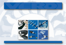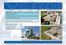

**VERDI Spa**, founded in 1987, is a leading company in bulk handling applications.

In 2000 obtained the Quality System certificate now updated to version ISO 9001: 2008

Verdi structures includes three sectors of activities :



**Spare parts Division Conveyor Division Zeolithe Division**



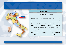### **Spare parts Division**

#### **CASTELNOVO di SOTTO (RE)**

VERD

**Spare parts Division**, manufactures and deals with full range of agro-industrial products; high level of knowledge and a very good technical team support our customers in a correct choice for a proper elevator engineering, or its optimization. Thanks to this knowledge it is possible to provide the most suitable components for any specific application keeping in due consideration the economical aspect. The internal moulding department assures quick deliveries and production elasticity to reply much more better to different needs of our customers.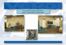**Thermoplastic Moulding Department** based in CASTELNOVO di SOTTO (RE)



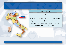## **Conveyor Division**

#### **TORINO**

 $V \in \mathbb{R}^D$ 

**Conveyor Division** is specialized in continuous transport systems and particular application for special products handling. Our technical staff offers a technical support to solve transport problems studying which are the best components to optimize the result saving costs.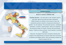#### **Zeolithe Division**

#### **Based in CASTEL GIORGIO (TR)**

V∕∃;}⊃

**Zeolithe Division** , the main deal is with zeolithe used for food feed, agricultural field and water treatments. VERDI extracts its zeolithe in the Centre of Italy, the production process consists in drying and removing all powder for raw material. This particular process, completely automatic, is made in Castel giorgio where are respected the maximum levels of controls, security and environment respect. Thanks to these activities, Verdi zeolithe is certified GMP plus.

Moreover, the deposit has been constantly checked with analysis from Dipartimento di Scienze della Terra University of Modena and Reggio Emilia, which periodically sample the material dealed with too.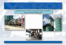**Production unit for drying, screening and storage of Zeolithe based in CASTEL GIORGIO (TR)**





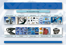